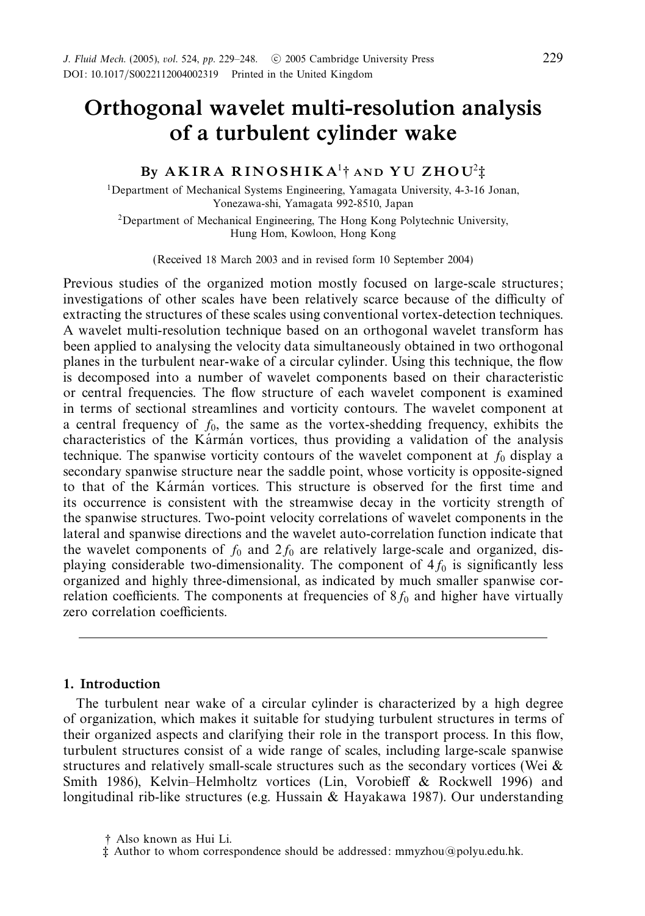# *Orthogonal wavelet multi-resolution analysis of a turbulent cylinder wake*

## *By A K I R A R I N O S H I K A*<sup>1</sup>† *AND YU ZHOU*<sup>2</sup>‡

<sup>1</sup>Department of Mechanical Systems Engineering, Yamagata University, 4-3-16 Jonan, Yonezawa-shi, Yamagata 992-8510, Japan

2Department of Mechanical Engineering, The Hong Kong Polytechnic University, Hung Hom, Kowloon, Hong Kong

(Received 18 March 2003 and in revised form 10 September 2004)

Previous studies of the organized motion mostly focused on large-scale structures; investigations of other scales have been relatively scarce because of the difficulty of extracting the structures of these scales using conventional vortex-detection techniques. A wavelet multi-resolution technique based on an orthogonal wavelet transform has been applied to analysing the velocity data simultaneously obtained in two orthogonal planes in the turbulent near-wake of a circular cylinder. Using this technique, the flow is decomposed into a number of wavelet components based on their characteristic or central frequencies. The flow structure of each wavelet component is examined in terms of sectional streamlines and vorticity contours. The wavelet component at a central frequency of  $f_0$ , the same as the vortex-shedding frequency, exhibits the characteristics of the Karman vortices, thus providing a validation of the analysis technique. The spanwise vorticity contours of the wavelet component at  $f_0$  display a secondary spanwise structure near the saddle point, whose vorticity is opposite-signed to that of the Karman vortices. This structure is observed for the first time and its occurrence is consistent with the streamwise decay in the vorticity strength of the spanwise structures. Two-point velocity correlations of wavelet components in the lateral and spanwise directions and the wavelet auto-correlation function indicate that the wavelet components of  $f_0$  and  $2f_0$  are relatively large-scale and organized, displaying considerable two-dimensionality. The component of  $4f_0$  is significantly less organized and highly three-dimensional, as indicated by much smaller spanwise correlation coefficients. The components at frequencies of  $8f_0$  and higher have virtually zero correlation coefficients.

## *1. Introduction*

The turbulent near wake of a circular cylinder is characterized by a high degree of organization, which makes it suitable for studying turbulent structures in terms of their organized aspects and clarifying their role in the transport process. In this flow, turbulent structures consist of a wide range of scales, including large-scale spanwise structures and relatively small-scale structures such as the secondary vortices (Wei & Smith 1986), Kelvin–Helmholtz vortices (Lin, Vorobieff & Rockwell 1996) and longitudinal rib-like structures (e.g. Hussain & Hayakawa 1987). Our understanding

<sup>†</sup> Also known as Hui Li.

<sup>‡</sup> Author to whom correspondence should be addressed: mmyzhou@polyu.edu.hk.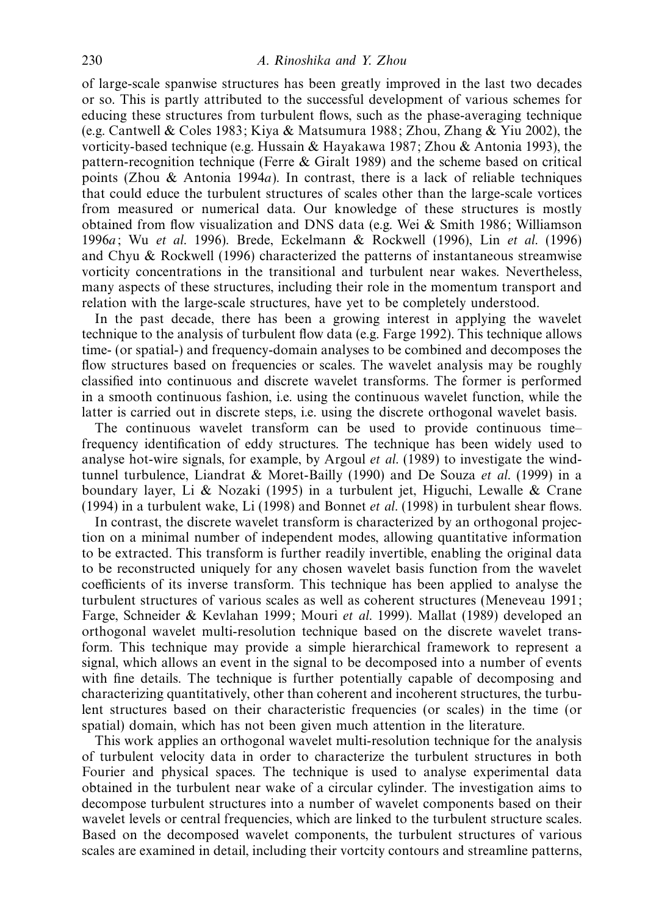of large-scale spanwise structures has been greatly improved in the last two decades or so. This is partly attributed to the successful development of various schemes for educing these structures from turbulent flows, such as the phase-averaging technique (e.g. Cantwell & Coles 1983; Kiya & Matsumura 1988; Zhou, Zhang & Yiu 2002), the vorticity-based technique (e.g. Hussain & Hayakawa 1987; Zhou & Antonia 1993), the pattern-recognition technique (Ferre & Giralt 1989) and the scheme based on critical points (Zhou & Antonia 1994*a*). In contrast, there is a lack of reliable techniques that could educe the turbulent structures of scales other than the large-scale vortices from measured or numerical data. Our knowledge of these structures is mostly obtained from flow visualization and DNS data (e.g. Wei & Smith 1986; Williamson 1996*a*; Wu et al. 1996). Brede, Eckelmann & Rockwell (1996), Lin et al. (1996) and Chyu & Rockwell (1996) characterized the patterns of instantaneous streamwise vorticity concentrations in the transitional and turbulent near wakes. Nevertheless, many aspects of these structures, including their role in the momentum transport and relation with the large-scale structures, have yet to be completely understood.

In the past decade, there has been a growing interest in applying the wavelet technique to the analysis of turbulent flow data (e.g. Farge 1992). This technique allows time- (or spatial-) and frequency-domain analyses to be combined and decomposes the flow structures based on frequencies or scales. The wavelet analysis may be roughly classified into continuous and discrete wavelet transforms. The former is performed in a smooth continuous fashion, i.e. using the continuous wavelet function, while the latter is carried out in discrete steps, i.e. using the discrete orthogonal wavelet basis.

The continuous wavelet transform can be used to provide continuous time– frequency identification of eddy structures. The technique has been widely used to analyse hot-wire signals, for example, by Argoul et al. (1989) to investigate the windtunnel turbulence, Liandrat & Moret-Bailly (1990) and De Souza et al. (1999) in a boundary layer, Li & Nozaki (1995) in a turbulent jet, Higuchi, Lewalle & Crane (1994) in a turbulent wake, Li (1998) and Bonnet et al. (1998) in turbulent shear flows.

In contrast, the discrete wavelet transform is characterized by an orthogonal projection on a minimal number of independent modes, allowing quantitative information to be extracted. This transform is further readily invertible, enabling the original data to be reconstructed uniquely for any chosen wavelet basis function from the wavelet coefficients of its inverse transform. This technique has been applied to analyse the turbulent structures of various scales as well as coherent structures (Meneveau 1991; Farge, Schneider & Kevlahan 1999; Mouri et al. 1999). Mallat (1989) developed an orthogonal wavelet multi-resolution technique based on the discrete wavelet transform. This technique may provide a simple hierarchical framework to represent a signal, which allows an event in the signal to be decomposed into a number of events with fine details. The technique is further potentially capable of decomposing and characterizing quantitatively, other than coherent and incoherent structures, the turbulent structures based on their characteristic frequencies (or scales) in the time (or spatial) domain, which has not been given much attention in the literature.

This work applies an orthogonal wavelet multi-resolution technique for the analysis of turbulent velocity data in order to characterize the turbulent structures in both Fourier and physical spaces. The technique is used to analyse experimental data obtained in the turbulent near wake of a circular cylinder. The investigation aims to decompose turbulent structures into a number of wavelet components based on their wavelet levels or central frequencies, which are linked to the turbulent structure scales. Based on the decomposed wavelet components, the turbulent structures of various scales are examined in detail, including their vortcity contours and streamline patterns,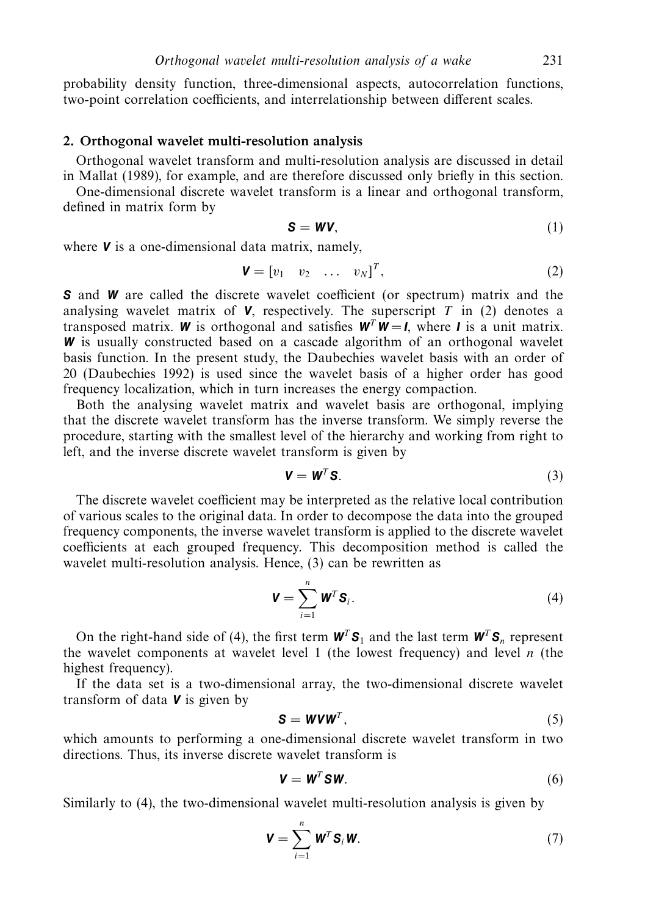probability density function, three-dimensional aspects, autocorrelation functions, two-point correlation coefficients, and interrelationship between different scales.

## *2. Orthogonal wavelet multi-resolution analysis*

Orthogonal wavelet transform and multi-resolution analysis are discussed in detail in Mallat (1989), for example, and are therefore discussed only briefly in this section.

One-dimensional discrete wavelet transform is a linear and orthogonal transform, defined in matrix form by

$$
S = WV, \tag{1}
$$

where *V* is a one-dimensional data matrix, namely,

$$
\mathbf{V} = \begin{bmatrix} v_1 & v_2 & \dots & v_N \end{bmatrix}^T, \tag{2}
$$

**S** and **W** are called the discrete wavelet coefficient (or spectrum) matrix and the analysing wavelet matrix of  $V$ , respectively. The superscript  $T$  in (2) denotes a transposed matrix. *W* is orthogonal and satisfies  $W^T W = I$ , where *I* is a unit matrix. *W* is usually constructed based on a cascade algorithm of an orthogonal wavelet basis function. In the present study, the Daubechies wavelet basis with an order of 20 (Daubechies 1992) is used since the wavelet basis of a higher order has good frequency localization, which in turn increases the energy compaction.

Both the analysing wavelet matrix and wavelet basis are orthogonal, implying that the discrete wavelet transform has the inverse transform. We simply reverse the procedure, starting with the smallest level of the hierarchy and working from right to left, and the inverse discrete wavelet transform is given by

$$
\mathbf{V} = \mathbf{W}^T \mathbf{S}.
$$
 (3)

The discrete wavelet coefficient may be interpreted as the relative local contribution of various scales to the original data. In order to decompose the data into the grouped frequency components, the inverse wavelet transform is applied to the discrete wavelet coefficients at each grouped frequency. This decomposition method is called the wavelet multi-resolution analysis. Hence, (3) can be rewritten as

$$
\mathbf{V} = \sum_{i=1}^{n} \mathbf{W}^{T} \mathbf{S}_{i}.
$$
 (4)

On the right-hand side of (4), the first term  $W^T S_1$  and the last term  $W^T S_n$  represent the wavelet components at wavelet level 1 (the lowest frequency) and level  $n$  (the highest frequency).

If the data set is a two-dimensional array, the two-dimensional discrete wavelet transform of data *V* is given by

$$
S = WVW^T, \tag{5}
$$

which amounts to performing a one-dimensional discrete wavelet transform in two directions. Thus, its inverse discrete wavelet transform is

$$
\mathbf{V} = \mathbf{W}^T \mathbf{S} \mathbf{W}.\tag{6}
$$

Similarly to (4), the two-dimensional wavelet multi-resolution analysis is given by

$$
\mathbf{V} = \sum_{i=1}^{n} \mathbf{W}^{T} \mathbf{S}_{i} \mathbf{W}.
$$
 (7)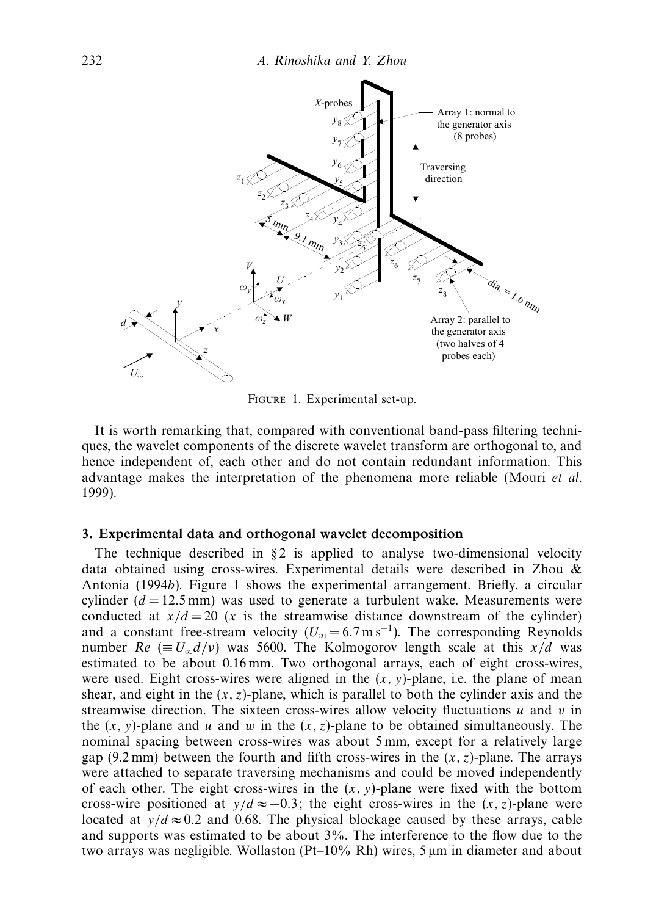

Figure 1. Experimental set-up.

It is worth remarking that, compared with conventional band-pass filtering techniques, the wavelet components of the discrete wavelet transform are orthogonal to, and hence independent of, each other and do not contain redundant information. This advantage makes the interpretation of the phenomena more reliable (Mouri et al. 1999).

#### *3. Experimental data and orthogonal wavelet decomposition*

The technique described in  $\S 2$  is applied to analyse two-dimensional velocity data obtained using cross-wires. Experimental details were described in Zhou & Antonia (1994*b*). Figure 1 shows the experimental arrangement. Briefly, a circular cylinder  $(d = 12.5 \text{ mm})$  was used to generate a turbulent wake. Measurements were conducted at  $x/d = 20$  (*x* is the streamwise distance downstream of the cylinder) and a constant free-stream velocity ( $U_{\infty} = 6.7 \text{ m s}^{-1}$ ). The corresponding Reynolds number  $Re \equiv U_{\infty} d/v$  was 5600. The Kolmogorov length scale at this *x/d* was estimated to be about 0.16 mm. Two orthogonal arrays, each of eight cross-wires, were used. Eight cross-wires were aligned in the  $(x, y)$ -plane, i.e. the plane of mean shear, and eight in the  $(x, z)$ -plane, which is parallel to both the cylinder axis and the streamwise direction. The sixteen cross-wires allow velocity fluctuations  $u$  and  $v$  in the  $(x, y)$ -plane and  $u$  and  $w$  in the  $(x, z)$ -plane to be obtained simultaneously. The nominal spacing between cross-wires was about 5 mm, except for a relatively large gap (9.2 mm) between the fourth and fifth cross-wires in the  $(x, z)$ -plane. The arrays were attached to separate traversing mechanisms and could be moved independently of each other. The eight cross-wires in the  $(x, y)$ -plane were fixed with the bottom cross-wire positioned at  $y/d \approx -0.3$ ; the eight cross-wires in the  $(x, z)$ -plane were located at  $y/d \approx 0.2$  and 0.68. The physical blockage caused by these arrays, cable and supports was estimated to be about 3%. The interference to the flow due to the two arrays was negligible. Wollaston (Pt–10% Rh) wires, 5  $\mu$ m in diameter and about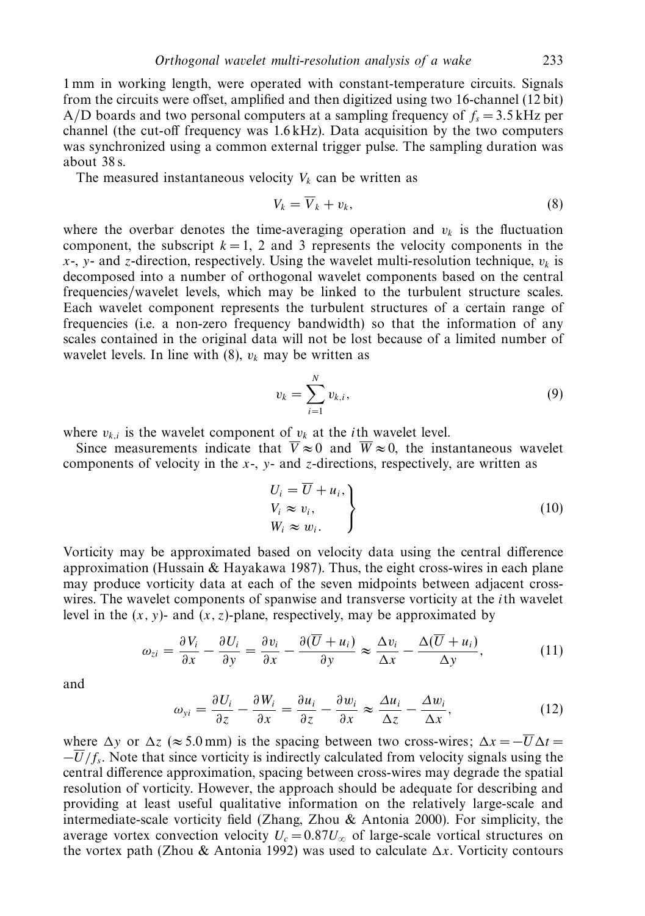1 mm in working length, were operated with constant-temperature circuits. Signals from the circuits were offset, amplified and then digitized using two 16-channel (12 bit) A/D boards and two personal computers at a sampling frequency of  $f_s = 3.5$  kHz per channel (the cut-off frequency was 1.6 kHz). Data acquisition by the two computers was synchronized using a common external trigger pulse. The sampling duration was about 38 s.

The measured instantaneous velocity  $V_k$  can be written as

$$
V_k = \overline{V}_k + v_k,\tag{8}
$$

where the overbar denotes the time-averaging operation and  $v_k$  is the fluctuation component, the subscript  $k = 1, 2$  and 3 represents the velocity components in the  $x$ -,  $y$ - and *z*-direction, respectively. Using the wavelet multi-resolution technique,  $v_k$  is decomposed into a number of orthogonal wavelet components based on the central frequencies/wavelet levels, which may be linked to the turbulent structure scales. Each wavelet component represents the turbulent structures of a certain range of frequencies (i.e. a non-zero frequency bandwidth) so that the information of any scales contained in the original data will not be lost because of a limited number of wavelet levels. In line with  $(8)$ ,  $v_k$  may be written as

$$
v_k = \sum_{i=1}^{N} v_{k,i},
$$
\n(9)

where  $v_{k,i}$  is the wavelet component of  $v_k$  at the *i*th wavelet level.

Since measurements indicate that  $\overline{V} \approx 0$  and  $\overline{W} \approx 0$ , the instantaneous wavelet components of velocity in the *x*-, *y*- and *z*-directions, respectively, are written as

$$
U_i = \overline{U} + u_i, \nV_i \approx v_i, \nW_i \approx w_i.
$$
\n(10)

Vorticity may be approximated based on velocity data using the central difference approximation (Hussain  $&$  Hayakawa 1987). Thus, the eight cross-wires in each plane may produce vorticity data at each of the seven midpoints between adjacent crosswires. The wavelet components of spanwise and transverse vorticity at the *i*th wavelet level in the  $(x, y)$ - and  $(x, z)$ -plane, respectively, may be approximated by

$$
\omega_{zi} = \frac{\partial V_i}{\partial x} - \frac{\partial U_i}{\partial y} = \frac{\partial v_i}{\partial x} - \frac{\partial (\overline{U} + u_i)}{\partial y} \approx \frac{\Delta v_i}{\Delta x} - \frac{\Delta (\overline{U} + u_i)}{\Delta y},\tag{11}
$$

and

$$
\omega_{yi} = \frac{\partial U_i}{\partial z} - \frac{\partial W_i}{\partial x} = \frac{\partial u_i}{\partial z} - \frac{\partial w_i}{\partial x} \approx \frac{\Delta u_i}{\Delta z} - \frac{\Delta w_i}{\Delta x},\tag{12}
$$

where  $\Delta y$  or  $\Delta z$  (≈ 5.0 mm) is the spacing between two cross-wires;  $\Delta x = -\overline{U}\Delta t =$  $-\overline{U}/f_s$ . Note that since vorticity is indirectly calculated from velocity signals using the central difference approximation, spacing between cross-wires may degrade the spatial resolution of vorticity. However, the approach should be adequate for describing and providing at least useful qualitative information on the relatively large-scale and intermediate-scale vorticity field (Zhang, Zhou & Antonia 2000). For simplicity, the average vortex convection velocity  $U_c = 0.87U_\infty$  of large-scale vortical structures on the vortex path (Zhou & Antonia 1992) was used to calculate  $\Delta x$ . Vorticity contours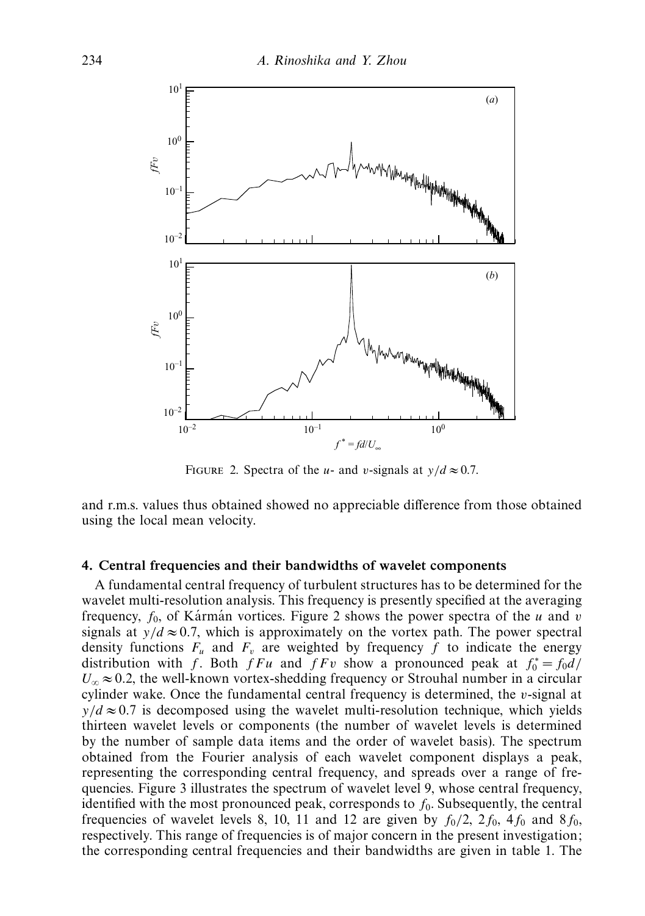

FIGURE 2. Spectra of the *u*- and *v*-signals at  $v/d \approx 0.7$ .

and r.m.s. values thus obtained showed no appreciable difference from those obtained using the local mean velocity.

#### *4. Central frequencies and their bandwidths of wavelet components*

A fundamental central frequency of turbulent structures has to be determined for the wavelet multi-resolution analysis. This frequency is presently specified at the averaging frequency,  $f_0$ , of Karman vortices. Figure 2 shows the power spectra of the  $u$  and  $v$ signals at  $y/d \approx 0.7$ , which is approximately on the vortex path. The power spectral density functions  $F_u$  and  $F_v$  are weighted by frequency f to indicate the energy distribution with *f*. Both *fFu* and *fFv* show a pronounced peak at  $f_0^* = f_0 d$ /  $U_{\infty} \approx 0.2$ , the well-known vortex-shedding frequency or Strouhal number in a circular cylinder wake. Once the fundamental central frequency is determined, the *v*-signal at  $y/d \approx 0.7$  is decomposed using the wavelet multi-resolution technique, which yields thirteen wavelet levels or components (the number of wavelet levels is determined by the number of sample data items and the order of wavelet basis). The spectrum obtained from the Fourier analysis of each wavelet component displays a peak, representing the corresponding central frequency, and spreads over a range of frequencies. Figure 3 illustrates the spectrum of wavelet level 9, whose central frequency, identified with the most pronounced peak, corresponds to  $f_0$ . Subsequently, the central frequencies of wavelet levels 8, 10, 11 and 12 are given by  $f_0/2$ ,  $2f_0$ ,  $4f_0$  and  $8f_0$ , respectively. This range of frequencies is of major concern in the present investigation; the corresponding central frequencies and their bandwidths are given in table 1. The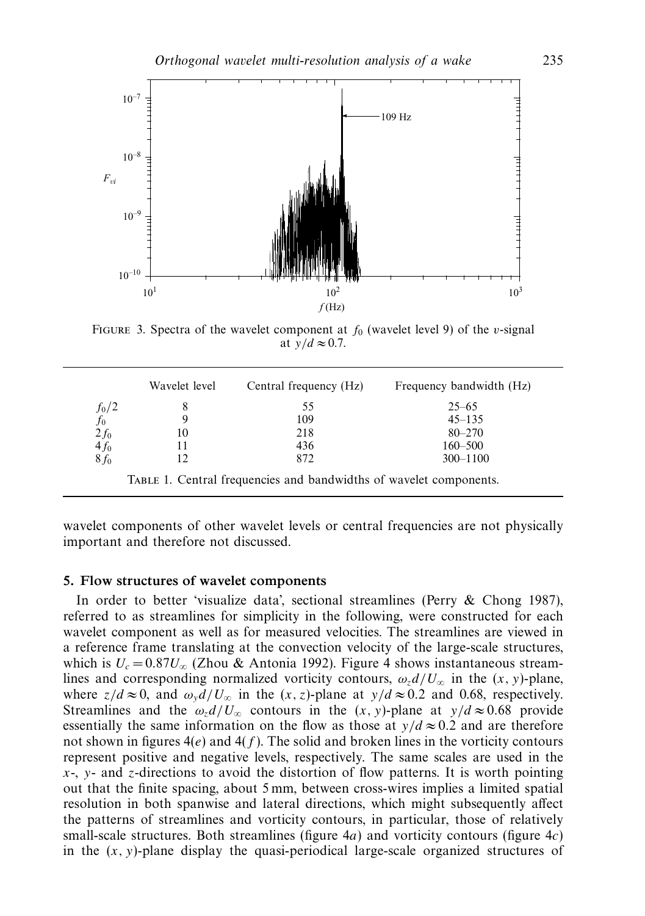

FIGURE 3. Spectra of the wavelet component at  $f_0$  (wavelet level 9) of the *v*-signal at  $\bar{y}/d \approx 0.7$ .

|                                | Wavelet level | Central frequency (Hz) | Frequency bandwidth (Hz) |
|--------------------------------|---------------|------------------------|--------------------------|
|                                |               | 55                     | $25 - 65$                |
| $\frac{f_0/2}{f_0}$<br>2 $f_0$ |               | 109                    | $45 - 135$               |
|                                | 10            | 218                    | $80 - 270$               |
| 4f <sub>0</sub>                |               | 436                    | $160 - 500$              |
| $8f_0$                         |               | 872                    | $300 - 1100$             |

wavelet components of other wavelet levels or central frequencies are not physically important and therefore not discussed.

## *5. Flow structures of wavelet components*

In order to better 'visualize data', sectional streamlines (Perry & Chong 1987), referred to as streamlines for simplicity in the following, were constructed for each wavelet component as well as for measured velocities. The streamlines are viewed in a reference frame translating at the convection velocity of the large-scale structures, which is  $U_c = 0.87 U_{\infty}$  (Zhou & Antonia 1992). Figure 4 shows instantaneous streamlines and corresponding normalized vorticity contours,  $\omega_z d/U_\infty$  in the  $(x, y)$ -plane, where  $z/d \approx 0$ , and  $\omega_y d/U_\infty$  in the  $(x, z)$ -plane at  $y/d \approx 0.2$  and 0.68, respectively. Streamlines and the  $\omega_z d/U_\infty$  contours in the  $(x, y)$ -plane at  $y/d \approx 0.68$  provide essentially the same information on the flow as those at  $y/d \approx 0.2$  and are therefore not shown in figures 4(*e*) and 4(*f* ). The solid and broken lines in the vorticity contours represent positive and negative levels, respectively. The same scales are used in the *x*-, *y*- and *z*-directions to avoid the distortion of flow patterns. It is worth pointing out that the finite spacing, about 5 mm, between cross-wires implies a limited spatial resolution in both spanwise and lateral directions, which might subsequently affect the patterns of streamlines and vorticity contours, in particular, those of relatively small-scale structures. Both streamlines (figure 4*a*) and vorticity contours (figure 4*c*) in the  $(x, y)$ -plane display the quasi-periodical large-scale organized structures of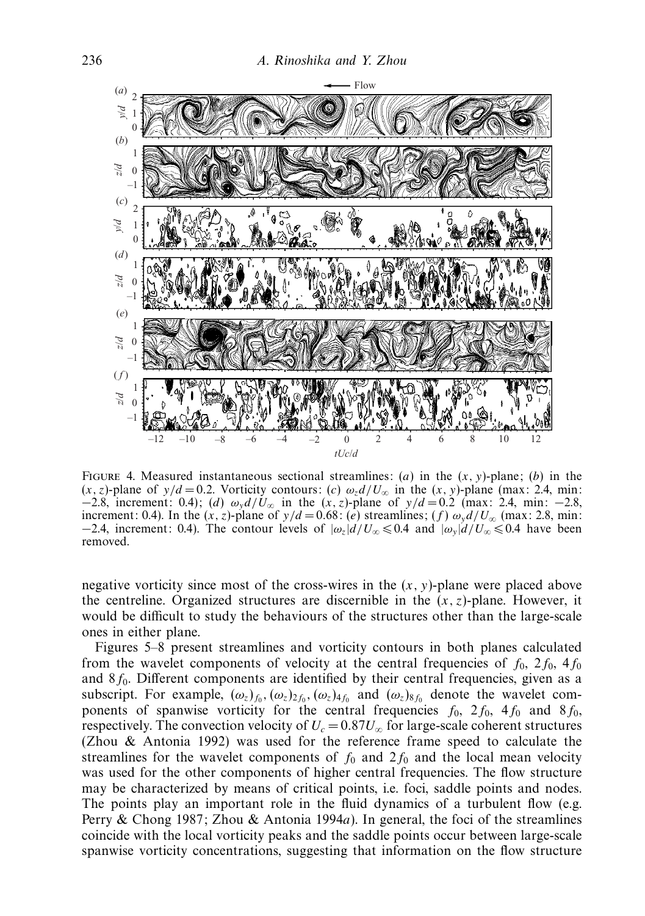

Figure 4. Measured instantaneous sectional streamlines: (*a*) in the (*x, y*)-plane; (*b*) in the  $(x, z)$ -plane of  $y/d = 0.2$ . Vorticity contours: (*c*)  $\omega_z d/U_\infty$  in the  $(x, y)$ -plane (max: 2.4, min: −2.8, increment: 0.4); (*d*) *ωy d/U*<sup>∞</sup> in the (*x,z*)-plane of *y/d* = 0*.*2 (max: 2.4, min: −2.8, increment: 0.4). In the  $(x, z)$ -plane of  $y/d = 0.68$ : (*e*) streamlines; (*f*)  $\omega_y d/U_\infty$  (max: 2.8, min:  $-2.4$ , increment: 0.4). The contour levels of  $|\omega_z|d/U_\infty \le 0.4$  and  $|\omega_y|d/U_\infty \le 0.4$  have been removed.

negative vorticity since most of the cross-wires in the (*x, y*)-plane were placed above the centreline. Organized structures are discernible in the  $(x, z)$ -plane. However, it would be difficult to study the behaviours of the structures other than the large-scale ones in either plane.

Figures 5–8 present streamlines and vorticity contours in both planes calculated from the wavelet components of velocity at the central frequencies of  $f_0$ ,  $2f_0$ ,  $4f_0$ and 8 $f_0$ . Different components are identified by their central frequencies, given as a subscript. For example,  $(\omega_z)_{f_0}$ ,  $(\omega_z)_{2f_0}$ ,  $(\omega_z)_{4f_0}$  and  $(\omega_z)_{8f_0}$  denote the wavelet components of spanwise vorticity for the central frequencies  $f_0$ ,  $2f_0$ ,  $4f_0$  and  $8f_0$ , respectively. The convection velocity of  $U_c = 0.87 U_{\infty}$  for large-scale coherent structures (Zhou & Antonia 1992) was used for the reference frame speed to calculate the streamlines for the wavelet components of  $f_0$  and  $2f_0$  and the local mean velocity was used for the other components of higher central frequencies. The flow structure may be characterized by means of critical points, i.e. foci, saddle points and nodes. The points play an important role in the fluid dynamics of a turbulent flow (e.g. Perry & Chong 1987; Zhou & Antonia 1994*a*). In general, the foci of the streamlines coincide with the local vorticity peaks and the saddle points occur between large-scale spanwise vorticity concentrations, suggesting that information on the flow structure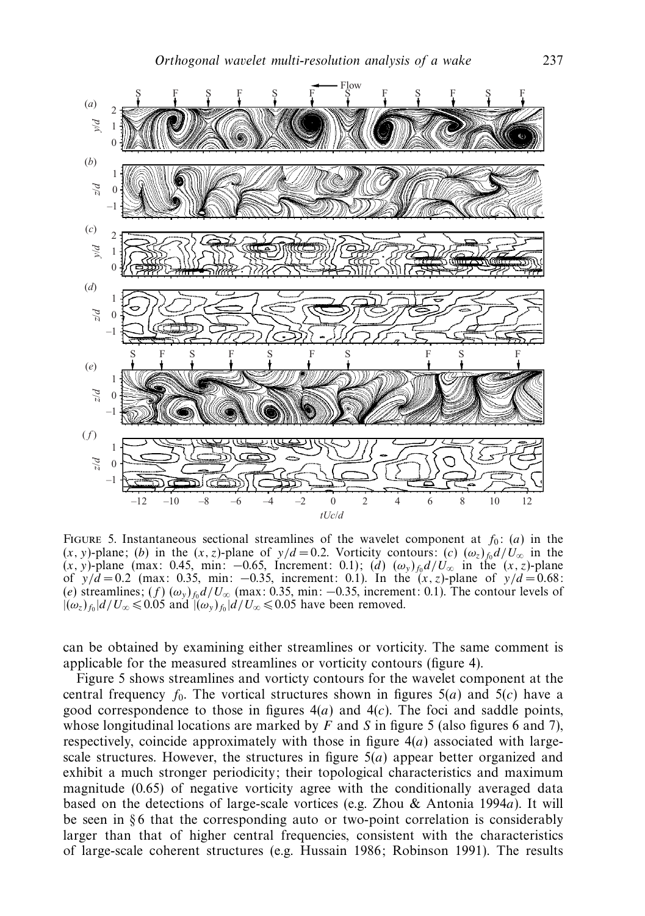

FIGURE 5. Instantaneous sectional streamlines of the wavelet component at  $f_0$ : (*a*) in the  $(x, y)$ -plane; (*b*) in the  $(x, z)$ -plane of  $y/d = 0.2$ . Vorticity contours: (*c*)  $(\omega_z) f_0 d/U_\infty$  in the  $(x, y)$ -plane (max: 0.45, min: -0.65, Increment: 0.1); (*d*)  $(\omega_y)_{f_0} d/U_{\infty}$  in the  $(x, z)$ -plane of *y/d* = 0*.*2 (max: 0.35, min: −0.35, increment: 0.1). In the (*x,z*)-plane of *y/d* = 0*.*68:  $(e)$  streamlines;  $(f)$   $(\omega_y)_{f_0} d/U_{\infty}$  (max: 0.35, min: −0.35, increment: 0.1). The contour levels of  $|(\omega_z)_{f_0}|d/U_{\infty} \leq 0.05$  and  $|(\omega_y)_{f_0}|d/U_{\infty} \leq 0.05$  have been removed.

can be obtained by examining either streamlines or vorticity. The same comment is applicable for the measured streamlines or vorticity contours (figure 4).

Figure 5 shows streamlines and vorticty contours for the wavelet component at the central frequency  $f_0$ . The vortical structures shown in figures  $5(a)$  and  $5(c)$  have a good correspondence to those in figures  $4(a)$  and  $4(c)$ . The foci and saddle points, whose longitudinal locations are marked by  $F$  and  $S$  in figure 5 (also figures 6 and 7), respectively, coincide approximately with those in figure 4(*a*) associated with largescale structures. However, the structures in figure 5(*a*) appear better organized and exhibit a much stronger periodicity; their topological characteristics and maximum magnitude (0.65) of negative vorticity agree with the conditionally averaged data based on the detections of large-scale vortices (e.g. Zhou & Antonia 1994*a*). It will be seen in  $§6$  that the corresponding auto or two-point correlation is considerably larger than that of higher central frequencies, consistent with the characteristics of large-scale coherent structures (e.g. Hussain 1986; Robinson 1991). The results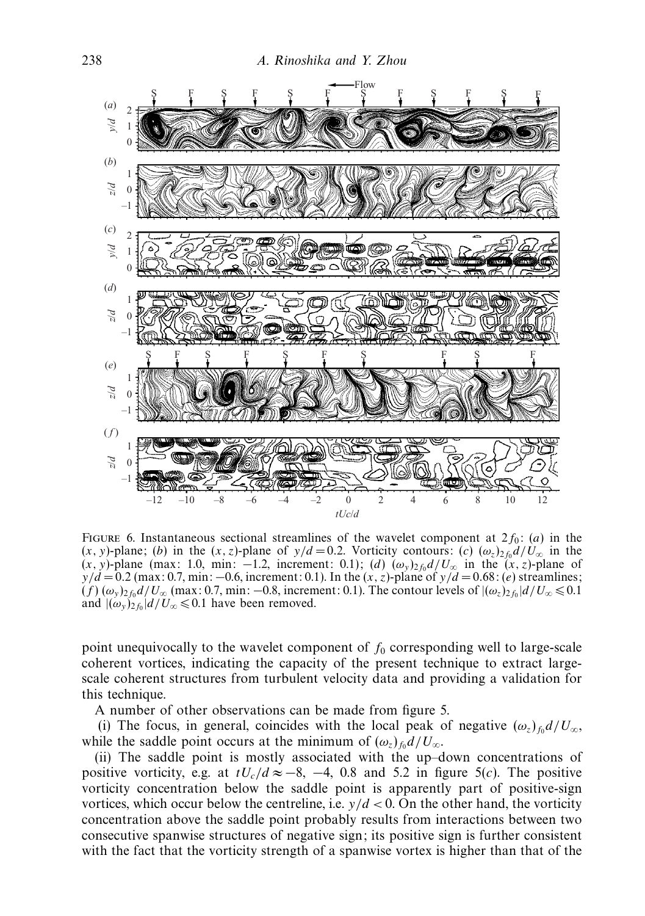

FIGURE 6. Instantaneous sectional streamlines of the wavelet component at  $2f_0$ : (*a*) in the  $(x, y)$ -plane; (*b*) in the  $(x, z)$ -plane of  $y/d = 0.2$ . Vorticity contours: (*c*)  $(\omega_z)_{z}$  *f*<sub>0</sub> $d/U_{\infty}$  in the  $(x, y)$ -plane (max: 1.0, min: -1.2, increment: 0.1); (*d*)  $(\omega_y)_{2f_0}d/U_\infty$  in the  $(x, z)$ -plane of *y/d* = 0.2 (max: 0.7, min: −0.6, increment: 0.1). In the (*x,z*)-plane of *y/d* = 0.68: (*e*) streamlines;  $(f)(\omega_y)_{2f_0}d/U_\infty$  (max: 0.7, min: −0.8, increment: 0.1). The contour levels of  $|(\omega_z)_{2f_0}|d/U_\infty \le 0.1$ and  $|(\omega_y)_{2f_0}|d/U_{\infty} \leq 0.1$  have been removed.

point unequivocally to the wavelet component of  $f_0$  corresponding well to large-scale coherent vortices, indicating the capacity of the present technique to extract largescale coherent structures from turbulent velocity data and providing a validation for this technique.

A number of other observations can be made from figure 5.

(i) The focus, in general, coincides with the local peak of negative  $(\omega_z)_{f_0} d/U_{\infty}$ , while the saddle point occurs at the minimum of  $(\omega_z)_{f_0} d/U_{\infty}$ .

(ii) The saddle point is mostly associated with the up–down concentrations of positive vorticity, e.g. at  $tU_c/d \approx -8$ , -4, 0.8 and 5.2 in figure 5(*c*). The positive vorticity concentration below the saddle point is apparently part of positive-sign vortices, which occur below the centreline, i.e.  $y/d < 0$ . On the other hand, the vorticity concentration above the saddle point probably results from interactions between two consecutive spanwise structures of negative sign; its positive sign is further consistent with the fact that the vorticity strength of a spanwise vortex is higher than that of the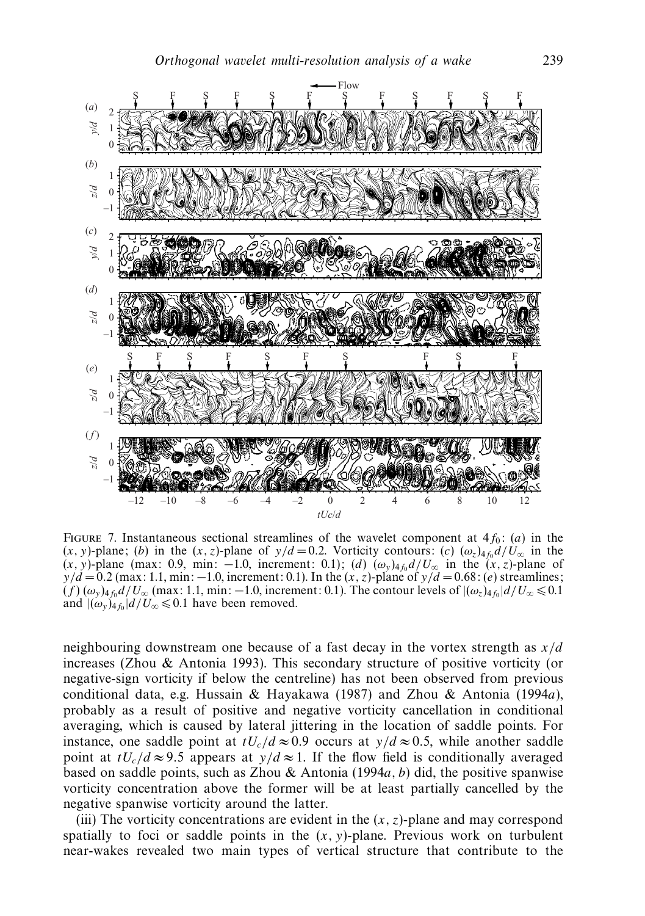

FIGURE 7. Instantaneous sectional streamlines of the wavelet component at  $4f_0$ : (*a*) in the  $(x, y)$ -plane; (*b*) in the  $(x, z)$ -plane of  $y/d = 0.2$ . Vorticity contours: (*c*)  $(\omega_z)_{4f_0}d/U_{\infty}$  in the  $(x, y)$ -plane (max: 0.9, min: -1.0, increment: 0.1); (*d*)  $(\omega_y)_{4f_0}d/U_\infty$  in the  $(x, z)$ -plane of *y/d* = 0.2 (max: 1.1, min: −1.0, increment: 0.1). In the (*x,z*)-plane of *y/d* = 0.68: (*e*) streamlines;  $(f)(\omega_y)_{4f_0}d/U_{\infty}$  (max: 1.1, min: −1.0, increment: 0.1). The contour levels of  $|(\omega_z)_{4f_0}|d/U_{\infty} \le 0.1$ and  $|(\omega_y)_{4f_0}|d/U_{\infty} \leq 0.1$  have been removed.

neighbouring downstream one because of a fast decay in the vortex strength as *x/d* increases (Zhou & Antonia 1993). This secondary structure of positive vorticity (or negative-sign vorticity if below the centreline) has not been observed from previous conditional data, e.g. Hussain & Hayakawa (1987) and Zhou & Antonia (1994*a*), probably as a result of positive and negative vorticity cancellation in conditional averaging, which is caused by lateral jittering in the location of saddle points. For instance, one saddle point at  $tU_c/d \approx 0.9$  occurs at  $y/d \approx 0.5$ , while another saddle point at  $tU_c/d \approx 9.5$  appears at  $y/d \approx 1$ . If the flow field is conditionally averaged based on saddle points, such as Zhou & Antonia (1994*a, b*) did, the positive spanwise vorticity concentration above the former will be at least partially cancelled by the negative spanwise vorticity around the latter.

(iii) The vorticity concentrations are evident in the  $(x, z)$ -plane and may correspond spatially to foci or saddle points in the  $(x, y)$ -plane. Previous work on turbulent near-wakes revealed two main types of vertical structure that contribute to the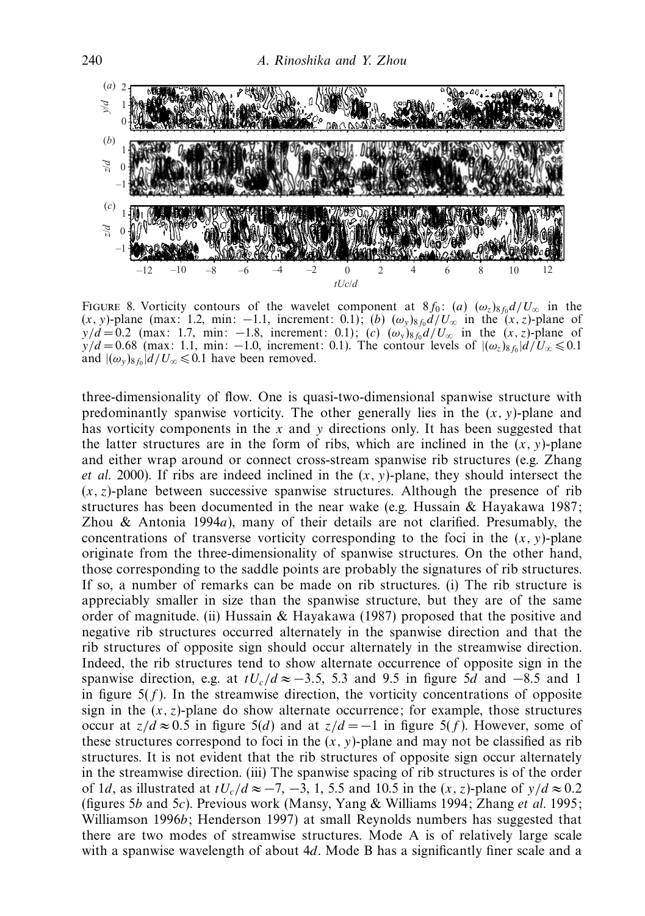

FIGURE 8. Vorticity contours of the wavelet component at  $8f_0$ : (*a*)  $(\omega_z)_{8f_0}d/U_{\infty}$  in the  $(x, y)$ -plane (max: 1.2, min: −1.1, increment: 0.1); (*b*)  $(\omega_y)_{8f_0}d/U_\infty$  in the  $(x, z)$ -plane of *y/d* = 0.2 (max: 1.7, min: −1.8, increment: 0.1); (*c*)  $(\omega_y)_{8f_0}d/U_\infty$  in the  $(x, z)$ -plane of  $y/d = 0.68$  (max: 1.1, min: −1.0, increment: 0.1). The contour levels of  $|(\omega_z)_{8f_0}|d/U_\infty \le 0.1$ and  $|(\omega_y)_{8f_0}|d/U_{\infty} \le 0.1$  have been removed.

three-dimensionality of flow. One is quasi-two-dimensional spanwise structure with predominantly spanwise vorticity. The other generally lies in the  $(x, y)$ -plane and has vorticity components in the *x* and *y* directions only. It has been suggested that the latter structures are in the form of ribs, which are inclined in the  $(x, y)$ -plane and either wrap around or connect cross-stream spanwise rib structures (e.g. Zhang et al. 2000). If ribs are indeed inclined in the (*x, y*)-plane, they should intersect the  $(x, z)$ -plane between successive spanwise structures. Although the presence of rib structures has been documented in the near wake (e.g. Hussain & Hayakawa 1987; Zhou & Antonia 1994*a*), many of their details are not clarified. Presumably, the concentrations of transverse vorticity corresponding to the foci in the  $(x, y)$ -plane originate from the three-dimensionality of spanwise structures. On the other hand, those corresponding to the saddle points are probably the signatures of rib structures. If so, a number of remarks can be made on rib structures. (i) The rib structure is appreciably smaller in size than the spanwise structure, but they are of the same order of magnitude. (ii) Hussain & Hayakawa (1987) proposed that the positive and negative rib structures occurred alternately in the spanwise direction and that the rib structures of opposite sign should occur alternately in the streamwise direction. Indeed, the rib structures tend to show alternate occurrence of opposite sign in the spanwise direction, e.g. at  $tU_c/d \approx -3.5$ , 5.3 and 9.5 in figure 5*d* and −8.5 and 1 in figure  $5(f)$ . In the streamwise direction, the vorticity concentrations of opposite sign in the  $(x, z)$ -plane do show alternate occurrence; for example, those structures occur at  $z/d ≈ 0.5$  in figure  $5(d)$  and at  $z/d = -1$  in figure  $5(f)$ . However, some of these structures correspond to foci in the  $(x, y)$ -plane and may not be classified as rib structures. It is not evident that the rib structures of opposite sign occur alternately in the streamwise direction. (iii) The spanwise spacing of rib structures is of the order of 1*d*, as illustrated at  $tU_c/d \approx -7, -3, 1, 5.5$  and 10.5 in the  $(x, z)$ -plane of  $y/d \approx 0.2$ (figures 5*b* and 5*c*). Previous work (Mansy, Yang & Williams 1994; Zhang et al. 1995; Williamson 1996*b*; Henderson 1997) at small Reynolds numbers has suggested that there are two modes of streamwise structures. Mode A is of relatively large scale with a spanwise wavelength of about 4*d*. Mode B has a significantly finer scale and a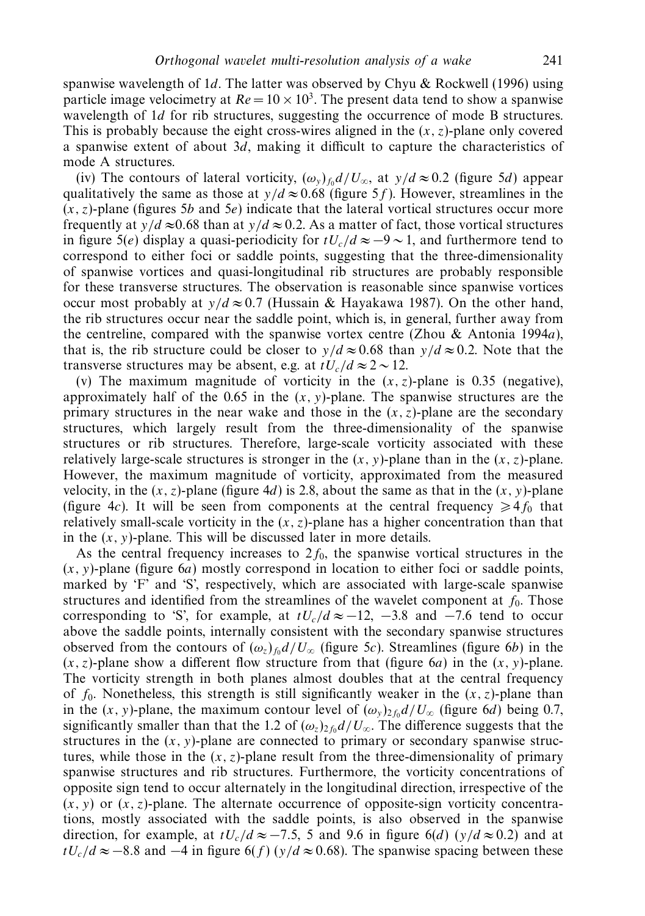spanwise wavelength of 1*d*. The latter was observed by Chyu & Rockwell (1996) using particle image velocimetry at  $Re = 10 \times 10^3$ . The present data tend to show a spanwise wavelength of 1*d* for rib structures, suggesting the occurrence of mode B structures. This is probably because the eight cross-wires aligned in the  $(x, z)$ -plane only covered a spanwise extent of about 3*d*, making it difficult to capture the characteristics of mode A structures.

(iv) The contours of lateral vorticity,  $(\omega_y)_{f_0} d/U_{\infty}$ , at  $y/d \approx 0.2$  (figure 5*d*) appear qualitatively the same as those at  $y/d \approx 0.68$  (figure 5*f*). However, streamlines in the  $(x, z)$ -plane (figures 5*b* and 5*e*) indicate that the lateral vortical structures occur more frequently at  $y/d \approx 0.68$  than at  $y/d \approx 0.2$ . As a matter of fact, those vortical structures in figure 5(*e*) display a quasi-periodicity for  $tU_c/d \approx -9 \sim 1$ , and furthermore tend to correspond to either foci or saddle points, suggesting that the three-dimensionality of spanwise vortices and quasi-longitudinal rib structures are probably responsible for these transverse structures. The observation is reasonable since spanwise vortices occur most probably at  $y/d \approx 0.7$  (Hussain & Hayakawa 1987). On the other hand, the rib structures occur near the saddle point, which is, in general, further away from the centreline, compared with the spanwise vortex centre (Zhou & Antonia 1994*a*), that is, the rib structure could be closer to  $y/d \approx 0.68$  than  $y/d \approx 0.2$ . Note that the transverse structures may be absent, e.g. at  $tU_c/d \approx 2 \sim 12$ .

(v) The maximum magnitude of vorticity in the  $(x, z)$ -plane is 0.35 (negative), approximately half of the  $0.65$  in the  $(x, y)$ -plane. The spanwise structures are the primary structures in the near wake and those in the  $(x, z)$ -plane are the secondary structures, which largely result from the three-dimensionality of the spanwise structures or rib structures. Therefore, large-scale vorticity associated with these relatively large-scale structures is stronger in the  $(x, y)$ -plane than in the  $(x, z)$ -plane. However, the maximum magnitude of vorticity, approximated from the measured velocity, in the  $(x, z)$ -plane (figure 4*d*) is 2.8, about the same as that in the  $(x, y)$ -plane (figure 4*c*). It will be seen from components at the central frequency  $\geq 4f_0$  that relatively small-scale vorticity in the  $(x, z)$ -plane has a higher concentration than that in the  $(x, y)$ -plane. This will be discussed later in more details.

As the central frequency increases to  $2f_0$ , the spanwise vortical structures in the  $(x, y)$ -plane (figure 6*a*) mostly correspond in location to either foci or saddle points, marked by 'F' and 'S', respectively, which are associated with large-scale spanwise structures and identified from the streamlines of the wavelet component at  $f_0$ . Those corresponding to 'S', for example, at  $tU_c/d \approx -12$ , -3.8 and -7.6 tend to occur above the saddle points, internally consistent with the secondary spanwise structures observed from the contours of  $(\omega_z)_{f_0} d/U_{\infty}$  (figure 5*c*). Streamlines (figure 6*b*) in the  $(x, z)$ -plane show a different flow structure from that (figure 6*a*) in the  $(x, y)$ -plane. The vorticity strength in both planes almost doubles that at the central frequency of  $f_0$ . Nonetheless, this strength is still significantly weaker in the  $(x, z)$ -plane than in the (*x*, *y*)-plane, the maximum contour level of  $(\omega_y)_{2f_0} d/U_\infty$  (figure 6*d*) being 0.7, significantly smaller than that the 1.2 of  $(\omega_z)_{2f_0} d/U_{\infty}$ . The difference suggests that the structures in the  $(x, y)$ -plane are connected to primary or secondary spanwise structures, while those in the  $(x, z)$ -plane result from the three-dimensionality of primary spanwise structures and rib structures. Furthermore, the vorticity concentrations of opposite sign tend to occur alternately in the longitudinal direction, irrespective of the  $(x, y)$  or  $(x, z)$ -plane. The alternate occurrence of opposite-sign vorticity concentrations, mostly associated with the saddle points, is also observed in the spanwise direction, for example, at  $tU_c/d \approx -7.5$ , 5 and 9.6 in figure 6(*d*) ( $y/d \approx 0.2$ ) and at  $tU_c/d \approx -8.8$  and  $-4$  in figure 6(*f*) ( $y/d \approx 0.68$ ). The spanwise spacing between these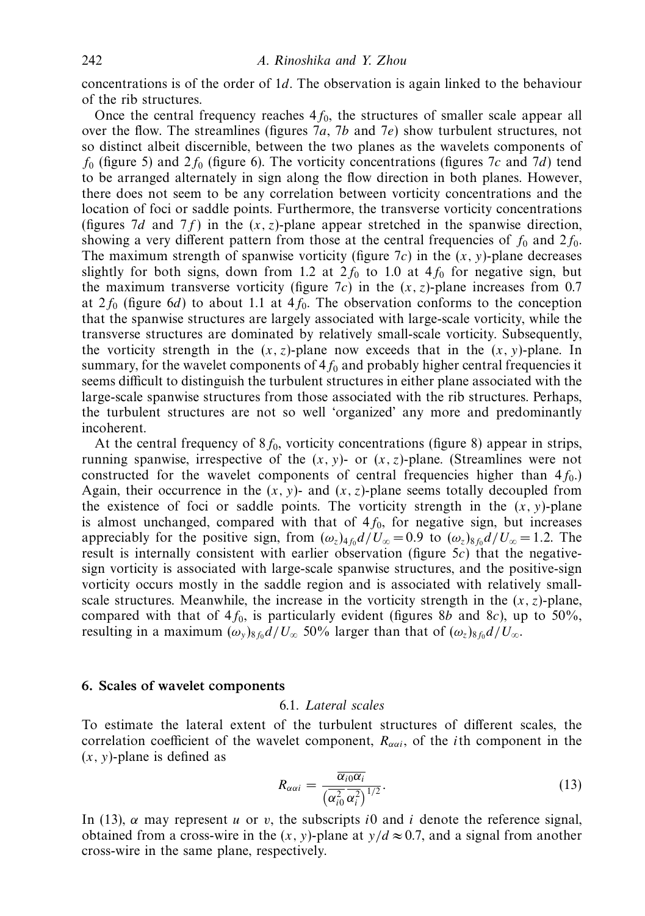concentrations is of the order of 1*d*. The observation is again linked to the behaviour of the rib structures.

Once the central frequency reaches  $4f_0$ , the structures of smaller scale appear all over the flow. The streamlines (figures 7*a*, 7*b* and 7*e*) show turbulent structures, not so distinct albeit discernible, between the two planes as the wavelets components of  $f_0$  (figure 5) and  $2f_0$  (figure 6). The vorticity concentrations (figures 7*c* and 7*d*) tend to be arranged alternately in sign along the flow direction in both planes. However, there does not seem to be any correlation between vorticity concentrations and the location of foci or saddle points. Furthermore, the transverse vorticity concentrations (figures 7*d* and 7*f*) in the  $(x, z)$ -plane appear stretched in the spanwise direction, showing a very different pattern from those at the central frequencies of  $f_0$  and  $2f_0$ . The maximum strength of spanwise vorticity (figure 7*c*) in the (*x, y*)-plane decreases slightly for both signs, down from 1.2 at  $2f_0$  to 1.0 at  $4f_0$  for negative sign, but the maximum transverse vorticity (figure  $7c$ ) in the  $(x, z)$ -plane increases from 0.7 at  $2f_0$  (figure 6*d*) to about 1.1 at  $4f_0$ . The observation conforms to the conception that the spanwise structures are largely associated with large-scale vorticity, while the transverse structures are dominated by relatively small-scale vorticity. Subsequently, the vorticity strength in the  $(x, z)$ -plane now exceeds that in the  $(x, y)$ -plane. In summary, for the wavelet components of  $4f_0$  and probably higher central frequencies it seems difficult to distinguish the turbulent structures in either plane associated with the large-scale spanwise structures from those associated with the rib structures. Perhaps, the turbulent structures are not so well 'organized' any more and predominantly incoherent.

At the central frequency of  $8f_0$ , vorticity concentrations (figure 8) appear in strips, running spanwise, irrespective of the  $(x, y)$ - or  $(x, z)$ -plane. (Streamlines were not constructed for the wavelet components of central frequencies higher than  $4f_0$ .) Again, their occurrence in the  $(x, y)$ - and  $(x, z)$ -plane seems totally decoupled from the existence of foci or saddle points. The vorticity strength in the  $(x, y)$ -plane is almost unchanged, compared with that of  $4f_0$ , for negative sign, but increases appreciably for the positive sign, from  $(\omega_z)_{4f_0}d/U_\infty = 0.9$  to  $(\omega_z)_{8f_0}d/U_\infty = 1.2$ . The result is internally consistent with earlier observation (figure 5*c*) that the negativesign vorticity is associated with large-scale spanwise structures, and the positive-sign vorticity occurs mostly in the saddle region and is associated with relatively smallscale structures. Meanwhile, the increase in the vorticity strength in the  $(x, z)$ -plane, compared with that of  $4f_0$ , is particularly evident (figures 8*b* and 8*c*), up to 50%, resulting in a maximum  $(\omega_y)_{8f_0}d/U_\infty$  50% larger than that of  $(\omega_z)_{8f_0}d/U_\infty$ .

#### *6. Scales of wavelet components*

#### 6.1. Lateral scales

To estimate the lateral extent of the turbulent structures of different scales, the correlation coefficient of the wavelet component,  $R_{\alpha\alpha i}$ , of the *i*th component in the (*x, y*)-plane is defined as

$$
R_{\alpha\alpha i} = \frac{\overline{\alpha_{i0}\alpha_i}}{(\overline{\alpha_{i0}^2}\,\overline{\alpha_i^2})^{1/2}}.
$$
\n(13)

In (13),  $\alpha$  may represent *u* or *v*, the subscripts *i*0 and *i* denote the reference signal, obtained from a cross-wire in the  $(x, y)$ -plane at  $y/d \approx 0.7$ , and a signal from another cross-wire in the same plane, respectively.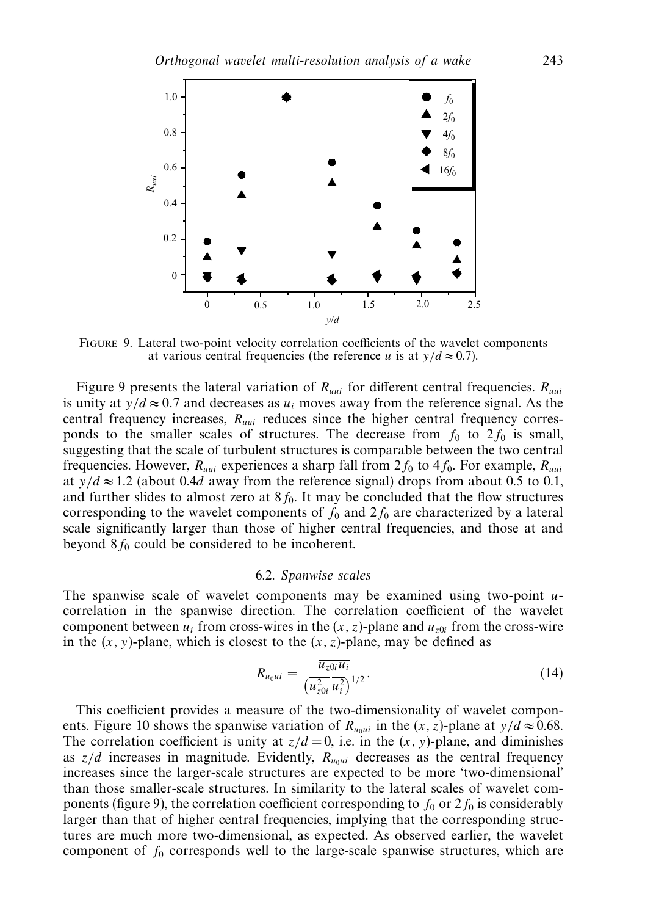

Figure 9. Lateral two-point velocity correlation coefficients of the wavelet components at various central frequencies (the reference *u* is at  $y/d \approx 0.7$ ).

Figure 9 presents the lateral variation of *Ruui* for different central frequencies. *Ruui* is unity at  $y/d \approx 0.7$  and decreases as  $u_i$  moves away from the reference signal. As the central frequency increases, *Ruui* reduces since the higher central frequency corresponds to the smaller scales of structures. The decrease from  $f_0$  to  $2f_0$  is small, suggesting that the scale of turbulent structures is comparable between the two central frequencies. However,  $R_{uui}$  experiences a sharp fall from  $2f_0$  to  $4f_0$ . For example,  $R_{uui}$ at  $y/d \approx 1.2$  (about 0.4*d* away from the reference signal) drops from about 0.5 to 0.1, and further slides to almost zero at  $8f_0$ . It may be concluded that the flow structures corresponding to the wavelet components of  $f_0$  and  $2f_0$  are characterized by a lateral scale significantly larger than those of higher central frequencies, and those at and beyond  $8f_0$  could be considered to be incoherent.

#### 6.2. Spanwise scales

The spanwise scale of wavelet components may be examined using two-point *u*correlation in the spanwise direction. The correlation coefficient of the wavelet component between  $u_i$  from cross-wires in the  $(x, z)$ -plane and  $u_{z0i}$  from the cross-wire in the  $(x, y)$ -plane, which is closest to the  $(x, z)$ -plane, may be defined as

$$
R_{u_0ui} = \frac{\overline{u_{z0i}u_i}}{(\overline{u_{z0i}^2}\,\overline{u_i^2})^{1/2}}.\tag{14}
$$

This coefficient provides a measure of the two-dimensionality of wavelet components. Figure 10 shows the spanwise variation of  $R_{u_{\text{out}}}$  in the  $(x, z)$ -plane at  $y/d \approx 0.68$ . The correlation coefficient is unity at  $z/d = 0$ , i.e. in the  $(x, y)$ -plane, and diminishes as  $z/d$  increases in magnitude. Evidently,  $R_{u_0 u i}$  decreases as the central frequency increases since the larger-scale structures are expected to be more 'two-dimensional' than those smaller-scale structures. In similarity to the lateral scales of wavelet components (figure 9), the correlation coefficient corresponding to  $f_0$  or  $2 f_0$  is considerably larger than that of higher central frequencies, implying that the corresponding structures are much more two-dimensional, as expected. As observed earlier, the wavelet component of  $f_0$  corresponds well to the large-scale spanwise structures, which are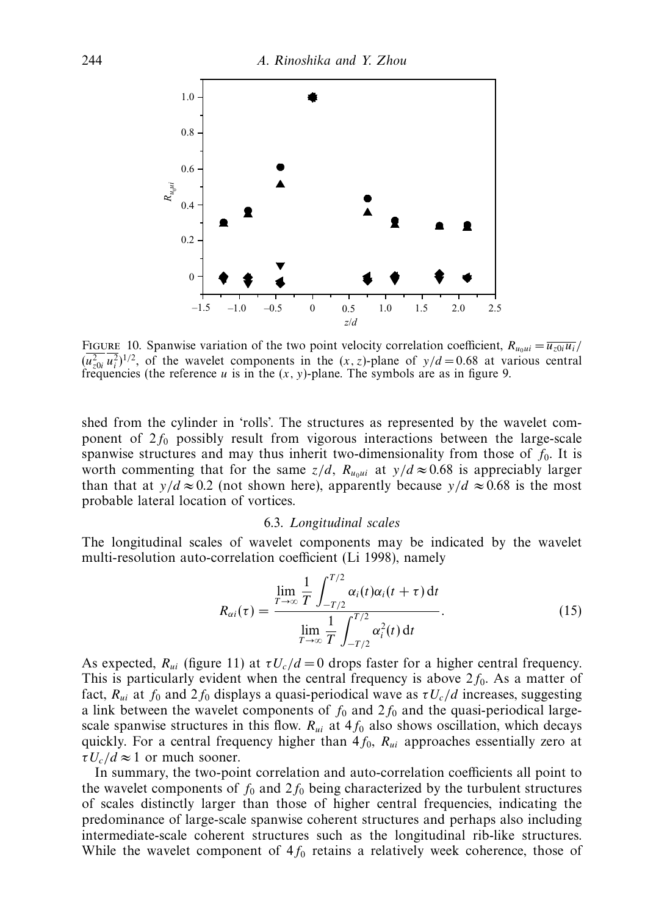

FIGURE 10. Spanwise variation of the two point velocity correlation coefficient,  $R_{u_0 u i} = \overline{u_{z0i} u_i}$  $(u_{z0i}^2 u_i^2)^{1/2}$ , of the wavelet components in the  $(x, z)$ -plane of  $y/d = 0.68$  at various central frequencies (the reference  $u$  is in the  $(x, y)$ -plane. The symbols are as in figure 9.

shed from the cylinder in 'rolls'. The structures as represented by the wavelet component of 2*f*<sup>0</sup> possibly result from vigorous interactions between the large-scale spanwise structures and may thus inherit two-dimensionality from those of  $f_0$ . It is worth commenting that for the same  $z/d$ ,  $R_{u_0ui}$  at  $y/d \approx 0.68$  is appreciably larger than that at *y/d*  $\approx$  0.2 (not shown here), apparently because *y/d*  $\approx$  0.68 is the most probable lateral location of vortices.

#### 6.3. Longitudinal scales

The longitudinal scales of wavelet components may be indicated by the wavelet multi-resolution auto-correlation coefficient (Li 1998), namely

$$
R_{\alpha i}(\tau) = \frac{\lim_{T \to \infty} \frac{1}{T} \int_{-T/2}^{T/2} \alpha_i(t) \alpha_i(t + \tau) dt}{\lim_{T \to \infty} \frac{1}{T} \int_{-T/2}^{T/2} \alpha_i^2(t) dt}.
$$
 (15)

As expected,  $R_{ui}$  (figure 11) at  $\tau U_c/d = 0$  drops faster for a higher central frequency. This is particularly evident when the central frequency is above  $2f_0$ . As a matter of fact,  $R_{ui}$  at  $f_0$  and  $2f_0$  displays a quasi-periodical wave as  $\tau U_c/d$  increases, suggesting a link between the wavelet components of  $f_0$  and  $2f_0$  and the quasi-periodical largescale spanwise structures in this flow.  $R_{ui}$  at  $4f_0$  also shows oscillation, which decays quickly. For a central frequency higher than  $4f_0$ ,  $R_{ui}$  approaches essentially zero at  $\tau U_c/d \approx 1$  or much sooner.

In summary, the two-point correlation and auto-correlation coefficients all point to the wavelet components of  $f_0$  and  $2f_0$  being characterized by the turbulent structures of scales distinctly larger than those of higher central frequencies, indicating the predominance of large-scale spanwise coherent structures and perhaps also including intermediate-scale coherent structures such as the longitudinal rib-like structures. While the wavelet component of  $4f_0$  retains a relatively week coherence, those of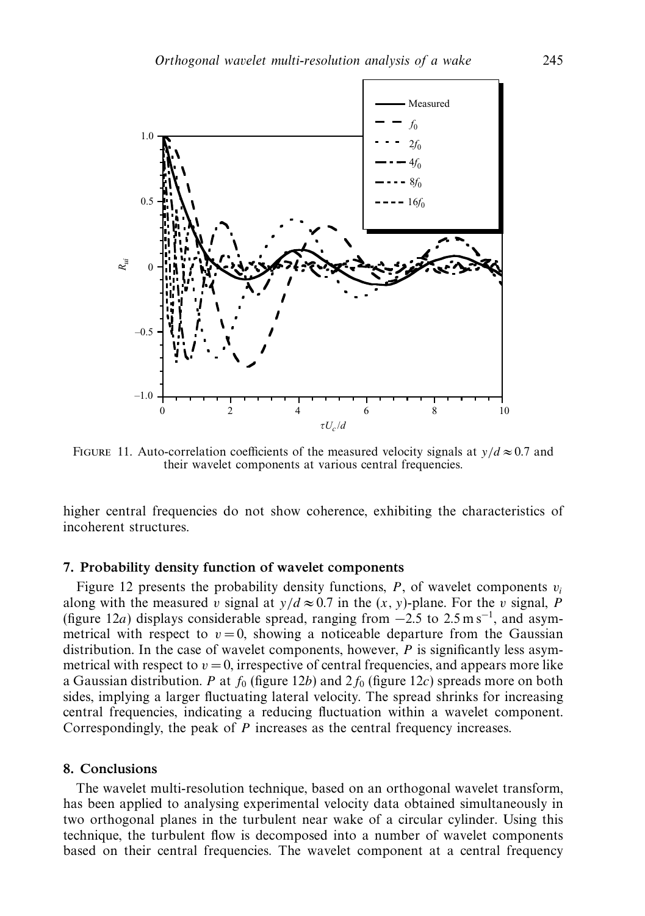

FIGURE 11. Auto-correlation coefficients of the measured velocity signals at  $y/d \approx 0.7$  and their wavelet components at various central frequencies.

higher central frequencies do not show coherence, exhibiting the characteristics of incoherent structures.

## *7. Probability density function of wavelet components*

Figure 12 presents the probability density functions,  $P$ , of wavelet components  $v_i$ along with the measured *v* signal at  $y/d \approx 0.7$  in the  $(x, y)$ -plane. For the *v* signal, *P* (figure 12*a*) displays considerable spread, ranging from  $-2.5$  to 2.5 m s<sup>-1</sup>, and asymmetrical with respect to  $v = 0$ , showing a noticeable departure from the Gaussian distribution. In the case of wavelet components, however, *P* is significantly less asymmetrical with respect to  $v = 0$ , irrespective of central frequencies, and appears more like a Gaussian distribution. *P* at  $f_0$  (figure 12*b*) and  $2f_0$  (figure 12*c*) spreads more on both sides, implying a larger fluctuating lateral velocity. The spread shrinks for increasing central frequencies, indicating a reducing fluctuation within a wavelet component. Correspondingly, the peak of *P* increases as the central frequency increases.

## *8. Conclusions*

The wavelet multi-resolution technique, based on an orthogonal wavelet transform, has been applied to analysing experimental velocity data obtained simultaneously in two orthogonal planes in the turbulent near wake of a circular cylinder. Using this technique, the turbulent flow is decomposed into a number of wavelet components based on their central frequencies. The wavelet component at a central frequency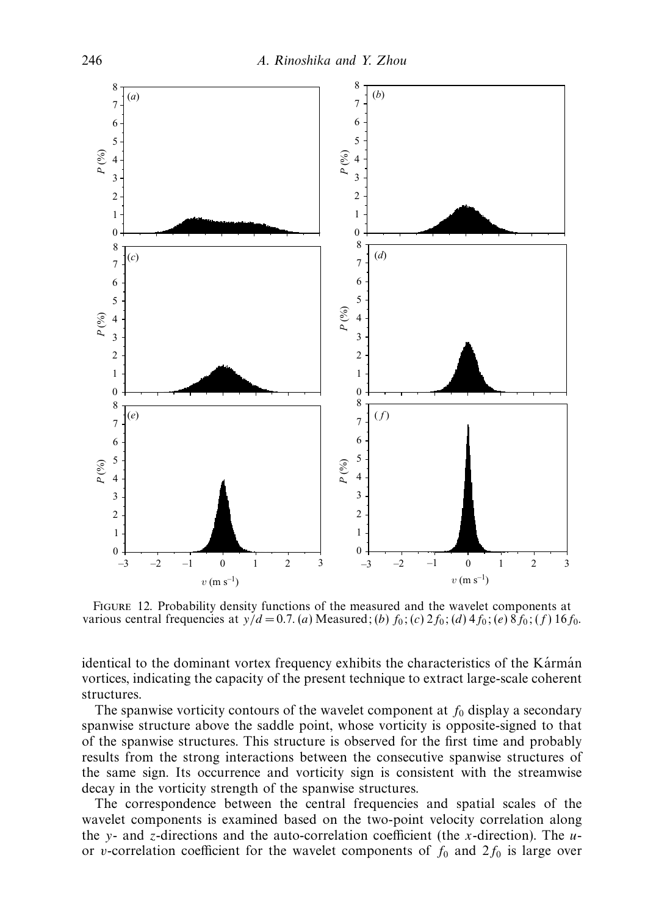

Figure 12. Probability density functions of the measured and the wavelet components at various central frequencies at  $y/d = 0.7$ . (*a*) Measured; (*b*)  $f_0$ ; (*c*)  $2f_0$ ; (*d*)  $4f_0$ ; (*e*)  $8f_0$ ; (*f*)  $16f_0$ .

identical to the dominant vortex frequency exhibits the characteristics of the Kármán vortices, indicating the capacity of the present technique to extract large-scale coherent structures.

The spanwise vorticity contours of the wavelet component at  $f_0$  display a secondary spanwise structure above the saddle point, whose vorticity is opposite-signed to that of the spanwise structures. This structure is observed for the first time and probably results from the strong interactions between the consecutive spanwise structures of the same sign. Its occurrence and vorticity sign is consistent with the streamwise decay in the vorticity strength of the spanwise structures.

The correspondence between the central frequencies and spatial scales of the wavelet components is examined based on the two-point velocity correlation along the *y*- and *z*-directions and the auto-correlation coefficient (the *x*-direction). The *u*or *v*-correlation coefficient for the wavelet components of  $f_0$  and  $2f_0$  is large over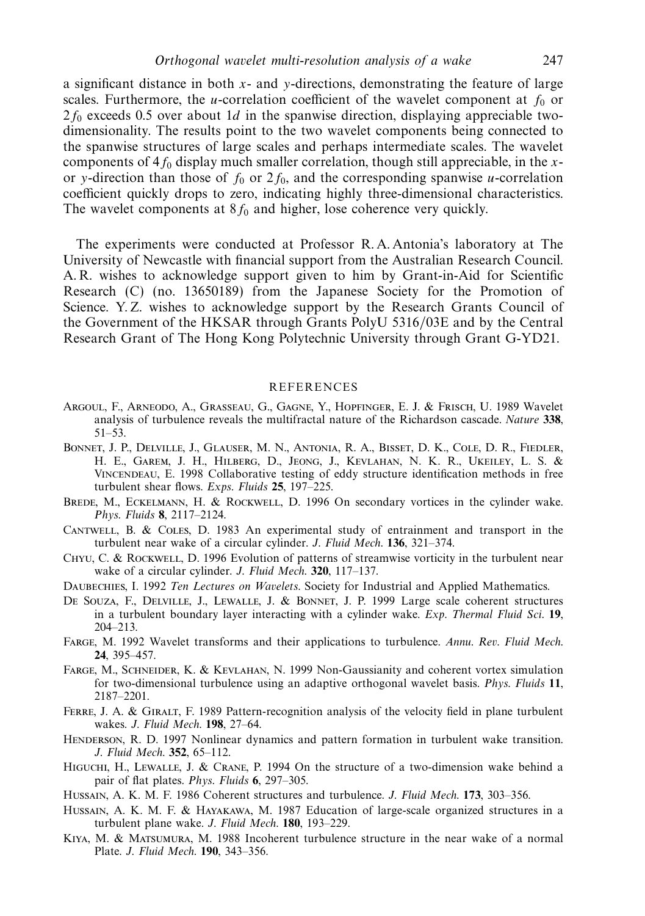a significant distance in both *x*- and *y*-directions, demonstrating the feature of large scales. Furthermore, the *u*-correlation coefficient of the wavelet component at  $f_0$  or 2*f*<sup>0</sup> exceeds 0.5 over about 1*d* in the spanwise direction, displaying appreciable twodimensionality. The results point to the two wavelet components being connected to the spanwise structures of large scales and perhaps intermediate scales. The wavelet components of 4*f*<sup>0</sup> display much smaller correlation, though still appreciable, in the *x*or *y*-direction than those of  $f_0$  or  $2f_0$ , and the corresponding spanwise *u*-correlation coefficient quickly drops to zero, indicating highly three-dimensional characteristics. The wavelet components at  $8f_0$  and higher, lose coherence very quickly.

The experiments were conducted at Professor R. A. Antonia's laboratory at The University of Newcastle with financial support from the Australian Research Council. A. R. wishes to acknowledge support given to him by Grant-in-Aid for Scientific Research (C) (no. 13650189) from the Japanese Society for the Promotion of Science. Y. Z. wishes to acknowledge support by the Research Grants Council of the Government of the HKSAR through Grants PolyU 5316/03E and by the Central Research Grant of The Hong Kong Polytechnic University through Grant G-YD21.

#### REFERENCES

- Argoul, F., Arneodo, A., Grasseau, G., Gagne, Y., Hopfinger, E. J. & Frisch, U. 1989 Wavelet analysis of turbulence reveals the multifractal nature of the Richardson cascade. Nature **338**, 51–53.
- Bonnet, J. P., Delville, J., Glauser, M. N., Antonia, R. A., Bisset, D. K., Cole, D. R., Fiedler, H. E., Garem, J. H., Hilberg, D., Jeong, J., Kevlahan, N. K. R., Ukeiley, L. S. & Vincendeau, E. 1998 Collaborative testing of eddy structure identification methods in free turbulent shear flows. Exps. Fluids **25**, 197–225.
- BREDE, M., ECKELMANN, H. & ROCKWELL, D. 1996 On secondary vortices in the cylinder wake. Phys. Fluids **8**, 2117–2124.
- Cantwell, B. & Coles, D. 1983 An experimental study of entrainment and transport in the turbulent near wake of a circular cylinder. J. Fluid Mech. **136**, 321–374.
- Chyu, C. & Rockwell, D. 1996 Evolution of patterns of streamwise vorticity in the turbulent near wake of a circular cylinder. J. Fluid Mech. **320**, 117–137.
- DAUBECHIES, I. 1992 Ten Lectures on Wavelets. Society for Industrial and Applied Mathematics.
- De Souza, F., Delville, J., Lewalle, J. & Bonnet, J. P. 1999 Large scale coherent structures in a turbulent boundary layer interacting with a cylinder wake. Exp. Thermal Fluid Sci. **19**, 204–213.
- Farge, M. 1992 Wavelet transforms and their applications to turbulence. Annu. Rev. Fluid Mech. **24**, 395–457.
- Farge, M., Schneider, K. & Kevlahan, N. 1999 Non-Gaussianity and coherent vortex simulation for two-dimensional turbulence using an adaptive orthogonal wavelet basis. Phys. Fluids **11**, 2187–2201.
- FERRE, J. A. & GIRALT, F. 1989 Pattern-recognition analysis of the velocity field in plane turbulent wakes. J. Fluid Mech. **198**, 27–64.
- HENDERSON, R. D. 1997 Nonlinear dynamics and pattern formation in turbulent wake transition. J. Fluid Mech. **352**, 65–112.
- Higuchi, H., Lewalle, J. & Crane, P. 1994 On the structure of a two-dimension wake behind a pair of flat plates. Phys. Fluids **6**, 297–305.
- Hussain, A. K. M. F. 1986 Coherent structures and turbulence. J. Fluid Mech. **173**, 303–356.
- Hussain, A. K. M. F. & Hayakawa, M. 1987 Education of large-scale organized structures in a turbulent plane wake. J. Fluid Mech. **180**, 193–229.
- Kiya, M. & Matsumura, M. 1988 Incoherent turbulence structure in the near wake of a normal Plate. J. Fluid Mech. **190**, 343–356.